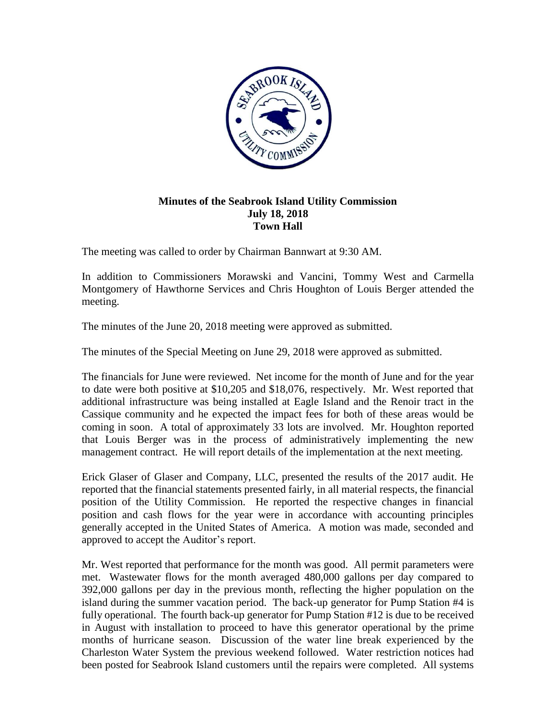

## **Minutes of the Seabrook Island Utility Commission July 18, 2018 Town Hall**

The meeting was called to order by Chairman Bannwart at 9:30 AM.

In addition to Commissioners Morawski and Vancini, Tommy West and Carmella Montgomery of Hawthorne Services and Chris Houghton of Louis Berger attended the meeting.

The minutes of the June 20, 2018 meeting were approved as submitted.

The minutes of the Special Meeting on June 29, 2018 were approved as submitted.

The financials for June were reviewed. Net income for the month of June and for the year to date were both positive at \$10,205 and \$18,076, respectively. Mr. West reported that additional infrastructure was being installed at Eagle Island and the Renoir tract in the Cassique community and he expected the impact fees for both of these areas would be coming in soon. A total of approximately 33 lots are involved. Mr. Houghton reported that Louis Berger was in the process of administratively implementing the new management contract. He will report details of the implementation at the next meeting.

Erick Glaser of Glaser and Company, LLC, presented the results of the 2017 audit. He reported that the financial statements presented fairly, in all material respects, the financial position of the Utility Commission. He reported the respective changes in financial position and cash flows for the year were in accordance with accounting principles generally accepted in the United States of America. A motion was made, seconded and approved to accept the Auditor's report.

Mr. West reported that performance for the month was good. All permit parameters were met. Wastewater flows for the month averaged 480,000 gallons per day compared to 392,000 gallons per day in the previous month, reflecting the higher population on the island during the summer vacation period. The back-up generator for Pump Station #4 is fully operational. The fourth back-up generator for Pump Station #12 is due to be received in August with installation to proceed to have this generator operational by the prime months of hurricane season. Discussion of the water line break experienced by the Charleston Water System the previous weekend followed. Water restriction notices had been posted for Seabrook Island customers until the repairs were completed. All systems